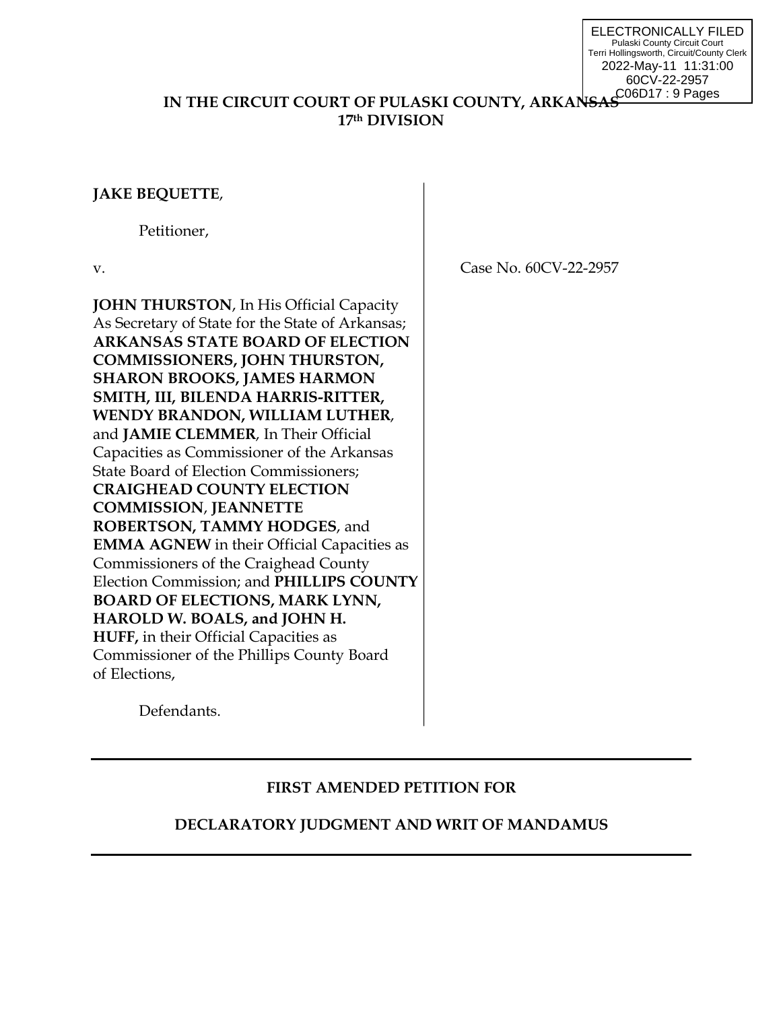ELECTRONICALLY FILED Pulaski County Circuit Court Terri Hollingsworth, Circuit/County Clerk 2022-May-11 11:31:00 60CV-22-2957 C06D17 : 9 Pages

## **IN THE CIRCUIT COURT OF PULASKI COUNTY, ARKANSA 17th DIVISION**

## **JAKE BEQUETTE**,

Petitioner,

**JOHN THURSTON, In His Official Capacity** As Secretary of State for the State of Arkansas; **ARKANSAS STATE BOARD OF ELECTION COMMISSIONERS, JOHN THURSTON, SHARON BROOKS, JAMES HARMON SMITH, III, BILENDA HARRIS-RITTER, WENDY BRANDON, WILLIAM LUTHER**, and **JAMIE CLEMMER**, In Their Official Capacities as Commissioner of the Arkansas State Board of Election Commissioners; **CRAIGHEAD COUNTY ELECTION COMMISSION**, **JEANNETTE ROBERTSON, TAMMY HODGES**, and **EMMA AGNEW** in their Official Capacities as Commissioners of the Craighead County Election Commission; and **PHILLIPS COUNTY BOARD OF ELECTIONS, MARK LYNN, HAROLD W. BOALS, and JOHN H. HUFF,** in their Official Capacities as Commissioner of the Phillips County Board of Elections,

v. **Case No. 60CV-22-2957** 

Defendants.

# **FIRST AMENDED PETITION FOR**

# **DECLARATORY JUDGMENT AND WRIT OF MANDAMUS**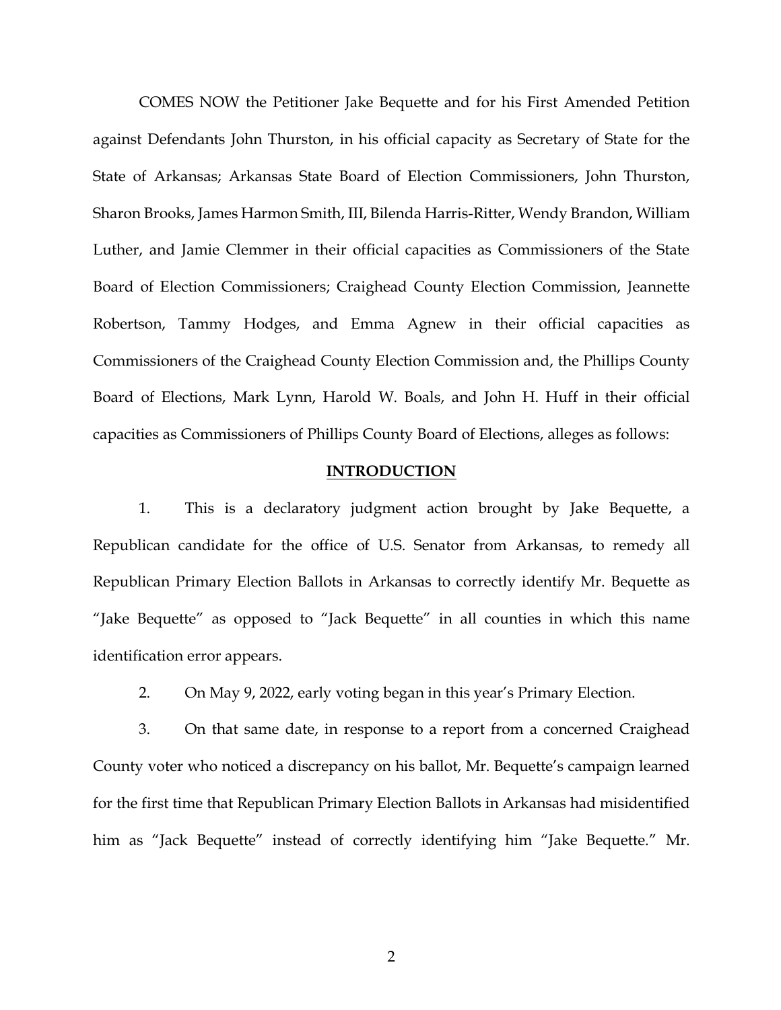COMES NOW the Petitioner Jake Bequette and for his First Amended Petition against Defendants John Thurston, in his official capacity as Secretary of State for the State of Arkansas; Arkansas State Board of Election Commissioners, John Thurston, Sharon Brooks, James Harmon Smith, III, Bilenda Harris-Ritter, Wendy Brandon, William Luther, and Jamie Clemmer in their official capacities as Commissioners of the State Board of Election Commissioners; Craighead County Election Commission, Jeannette Robertson, Tammy Hodges, and Emma Agnew in their official capacities as Commissioners of the Craighead County Election Commission and, the Phillips County Board of Elections, Mark Lynn, Harold W. Boals, and John H. Huff in their official capacities as Commissioners of Phillips County Board of Elections, alleges as follows:

#### **INTRODUCTION**

1. This is a declaratory judgment action brought by Jake Bequette, a Republican candidate for the office of U.S. Senator from Arkansas, to remedy all Republican Primary Election Ballots in Arkansas to correctly identify Mr. Bequette as "Jake Bequette" as opposed to "Jack Bequette" in all counties in which this name identification error appears.

2. On May 9, 2022, early voting began in this year's Primary Election.

3. On that same date, in response to a report from a concerned Craighead County voter who noticed a discrepancy on his ballot, Mr. Bequette's campaign learned for the first time that Republican Primary Election Ballots in Arkansas had misidentified him as "Jack Bequette" instead of correctly identifying him "Jake Bequette." Mr.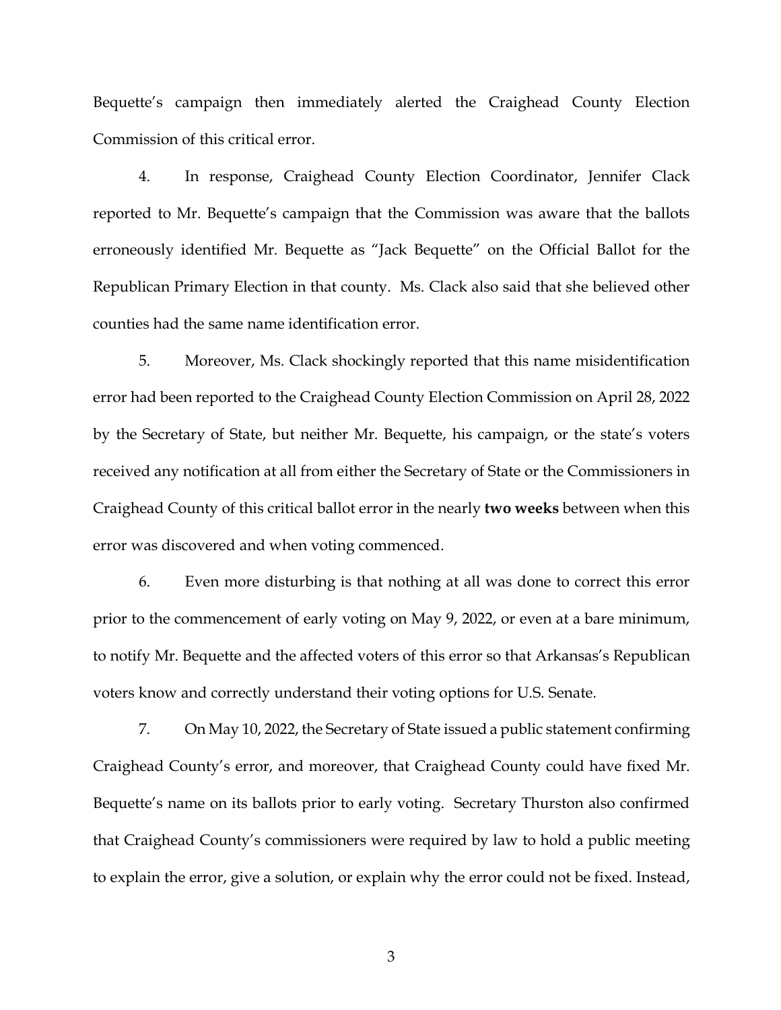Bequette's campaign then immediately alerted the Craighead County Election Commission of this critical error.

4. In response, Craighead County Election Coordinator, Jennifer Clack reported to Mr. Bequette's campaign that the Commission was aware that the ballots erroneously identified Mr. Bequette as "Jack Bequette" on the Official Ballot for the Republican Primary Election in that county. Ms. Clack also said that she believed other counties had the same name identification error.

5. Moreover, Ms. Clack shockingly reported that this name misidentification error had been reported to the Craighead County Election Commission on April 28, 2022 by the Secretary of State, but neither Mr. Bequette, his campaign, or the state's voters received any notification at all from either the Secretary of State or the Commissioners in Craighead County of this critical ballot error in the nearly **two weeks** between when this error was discovered and when voting commenced.

6. Even more disturbing is that nothing at all was done to correct this error prior to the commencement of early voting on May 9, 2022, or even at a bare minimum, to notify Mr. Bequette and the affected voters of this error so that Arkansas's Republican voters know and correctly understand their voting options for U.S. Senate.

7. On May 10, 2022, the Secretary of State issued a public statement confirming Craighead County's error, and moreover, that Craighead County could have fixed Mr. Bequette's name on its ballots prior to early voting. Secretary Thurston also confirmed that Craighead County's commissioners were required by law to hold a public meeting to explain the error, give a solution, or explain why the error could not be fixed. Instead,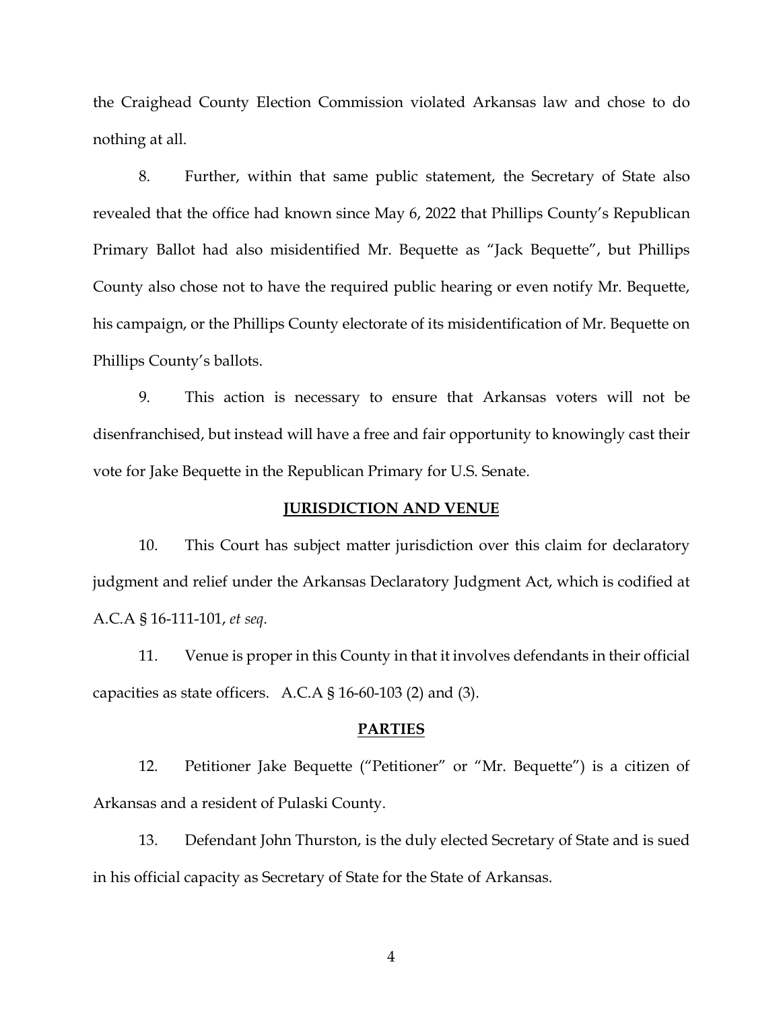the Craighead County Election Commission violated Arkansas law and chose to do nothing at all.

8. Further, within that same public statement, the Secretary of State also revealed that the office had known since May 6, 2022 that Phillips County's Republican Primary Ballot had also misidentified Mr. Bequette as "Jack Bequette", but Phillips County also chose not to have the required public hearing or even notify Mr. Bequette, his campaign, or the Phillips County electorate of its misidentification of Mr. Bequette on Phillips County's ballots.

9. This action is necessary to ensure that Arkansas voters will not be disenfranchised, but instead will have a free and fair opportunity to knowingly cast their vote for Jake Bequette in the Republican Primary for U.S. Senate.

### **JURISDICTION AND VENUE**

10. This Court has subject matter jurisdiction over this claim for declaratory judgment and relief under the Arkansas Declaratory Judgment Act, which is codified at A.C.A § 16-111-101, *et seq*.

11. Venue is proper in this County in that it involves defendants in their official capacities as state officers. A.C.A  $\S$  16-60-103 (2) and (3).

#### **PARTIES**

12. Petitioner Jake Bequette ("Petitioner" or "Mr. Bequette") is a citizen of Arkansas and a resident of Pulaski County.

13. Defendant John Thurston, is the duly elected Secretary of State and is sued in his official capacity as Secretary of State for the State of Arkansas.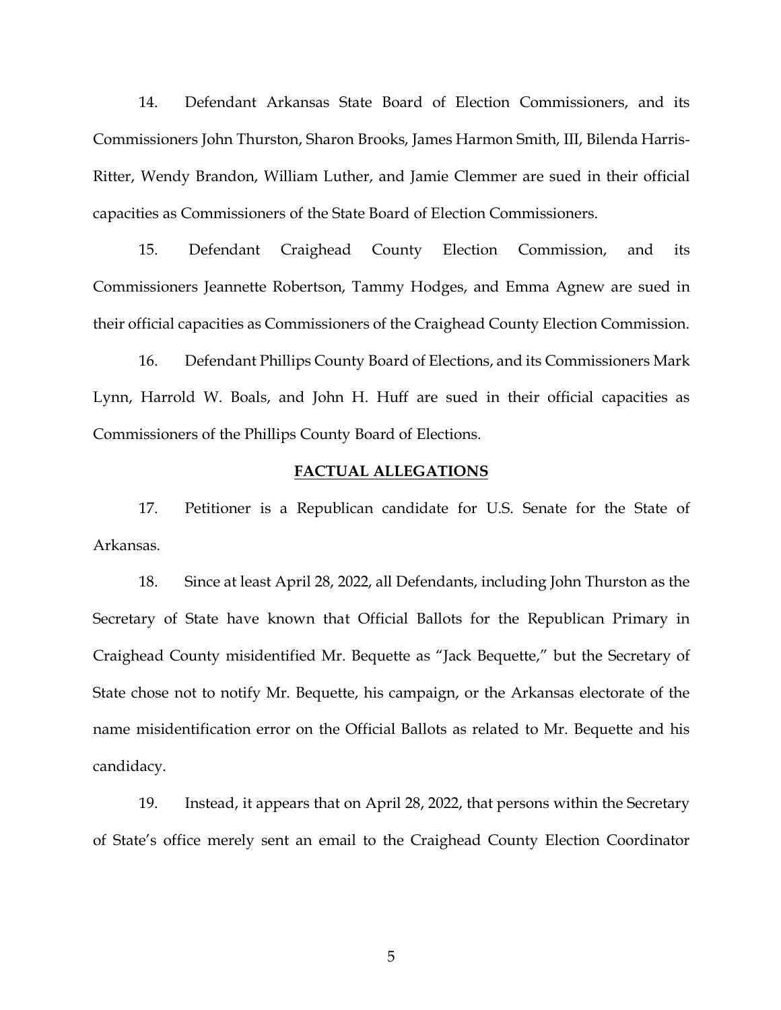14. Defendant Arkansas State Board of Election Commissioners, and its Commissioners John Thurston, Sharon Brooks, James Harmon Smith, III, Bilenda Harris-Ritter, Wendy Brandon, William Luther, and Jamie Clemmer are sued in their official capacities as Commissioners of the State Board of Election Commissioners.

15. Defendant Craighead County Election Commission, and its Commissioners Jeannette Robertson, Tammy Hodges, and Emma Agnew are sued in their official capacities as Commissioners of the Craighead County Election Commission.

16. Defendant Phillips County Board of Elections, and its Commissioners Mark Lynn, Harrold W. Boals, and John H. Huff are sued in their official capacities as Commissioners of the Phillips County Board of Elections.

#### **FACTUAL ALLEGATIONS**

17. Petitioner is a Republican candidate for U.S. Senate for the State of Arkansas.

18. Since at least April 28, 2022, all Defendants, including John Thurston as the Secretary of State have known that Official Ballots for the Republican Primary in Craighead County misidentified Mr. Bequette as "Jack Bequette," but the Secretary of State chose not to notify Mr. Bequette, his campaign, or the Arkansas electorate of the name misidentification error on the Official Ballots as related to Mr. Bequette and his candidacy.

19. Instead, it appears that on April 28, 2022, that persons within the Secretary of State's office merely sent an email to the Craighead County Election Coordinator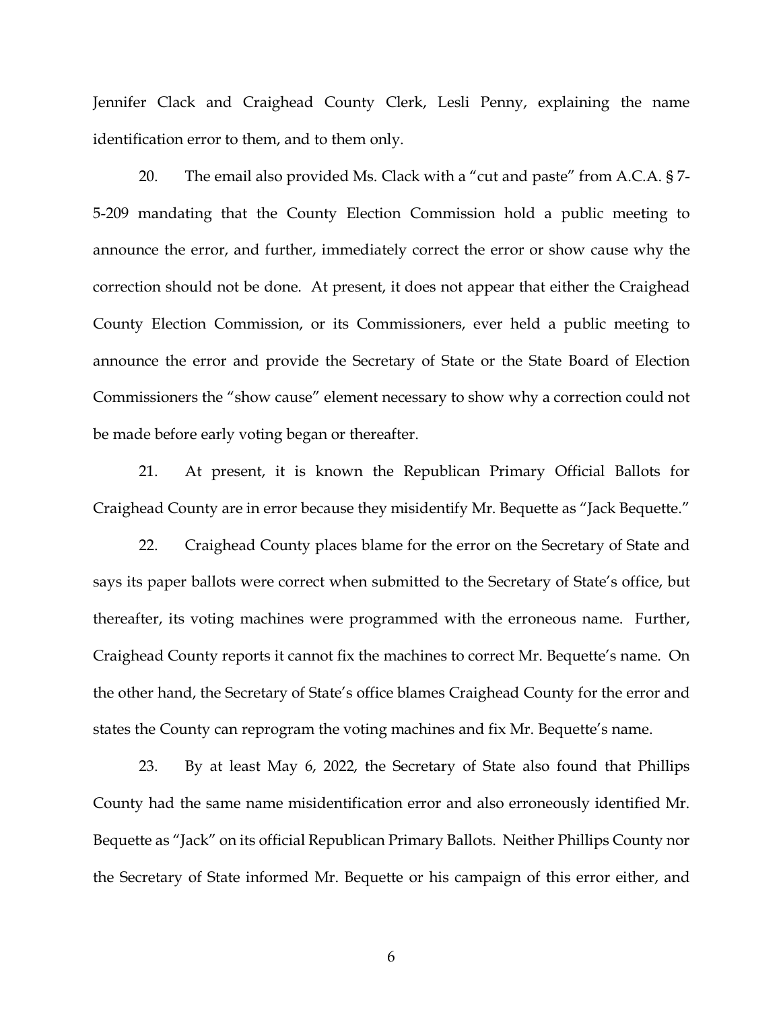Jennifer Clack and Craighead County Clerk, Lesli Penny, explaining the name identification error to them, and to them only.

20. The email also provided Ms. Clack with a "cut and paste" from A.C.A. § 7- 5-209 mandating that the County Election Commission hold a public meeting to announce the error, and further, immediately correct the error or show cause why the correction should not be done. At present, it does not appear that either the Craighead County Election Commission, or its Commissioners, ever held a public meeting to announce the error and provide the Secretary of State or the State Board of Election Commissioners the "show cause" element necessary to show why a correction could not be made before early voting began or thereafter.

21. At present, it is known the Republican Primary Official Ballots for Craighead County are in error because they misidentify Mr. Bequette as "Jack Bequette."

22. Craighead County places blame for the error on the Secretary of State and says its paper ballots were correct when submitted to the Secretary of State's office, but thereafter, its voting machines were programmed with the erroneous name. Further, Craighead County reports it cannot fix the machines to correct Mr. Bequette's name. On the other hand, the Secretary of State's office blames Craighead County for the error and states the County can reprogram the voting machines and fix Mr. Bequette's name.

23. By at least May 6, 2022, the Secretary of State also found that Phillips County had the same name misidentification error and also erroneously identified Mr. Bequette as "Jack" on its official Republican Primary Ballots. Neither Phillips County nor the Secretary of State informed Mr. Bequette or his campaign of this error either, and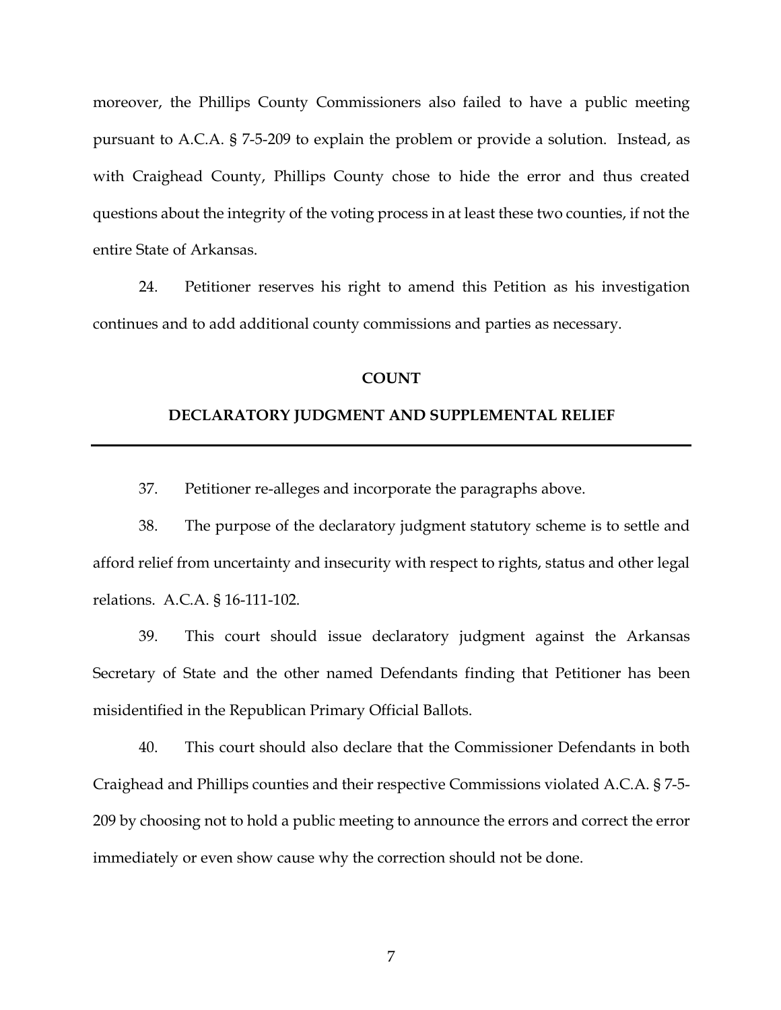moreover, the Phillips County Commissioners also failed to have a public meeting pursuant to A.C.A. § 7-5-209 to explain the problem or provide a solution. Instead, as with Craighead County, Phillips County chose to hide the error and thus created questions about the integrity of the voting process in at least these two counties, if not the entire State of Arkansas.

24. Petitioner reserves his right to amend this Petition as his investigation continues and to add additional county commissions and parties as necessary.

### **COUNT**

#### **DECLARATORY JUDGMENT AND SUPPLEMENTAL RELIEF**

37. Petitioner re-alleges and incorporate the paragraphs above.

38. The purpose of the declaratory judgment statutory scheme is to settle and afford relief from uncertainty and insecurity with respect to rights, status and other legal relations. A.C.A. § 16-111-102.

39. This court should issue declaratory judgment against the Arkansas Secretary of State and the other named Defendants finding that Petitioner has been misidentified in the Republican Primary Official Ballots.

40. This court should also declare that the Commissioner Defendants in both Craighead and Phillips counties and their respective Commissions violated A.C.A. § 7-5- 209 by choosing not to hold a public meeting to announce the errors and correct the error immediately or even show cause why the correction should not be done.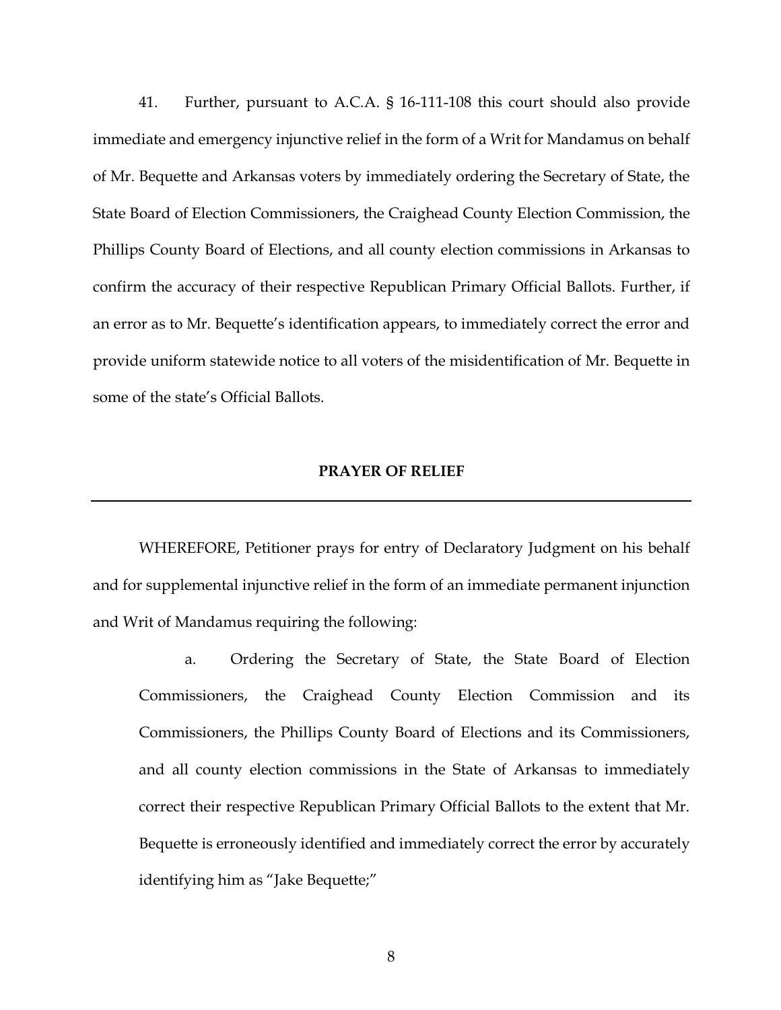41. Further, pursuant to A.C.A. § 16-111-108 this court should also provide immediate and emergency injunctive relief in the form of a Writ for Mandamus on behalf of Mr. Bequette and Arkansas voters by immediately ordering the Secretary of State, the State Board of Election Commissioners, the Craighead County Election Commission, the Phillips County Board of Elections, and all county election commissions in Arkansas to confirm the accuracy of their respective Republican Primary Official Ballots. Further, if an error as to Mr. Bequette's identification appears, to immediately correct the error and provide uniform statewide notice to all voters of the misidentification of Mr. Bequette in some of the state's Official Ballots.

### **PRAYER OF RELIEF**

WHEREFORE, Petitioner prays for entry of Declaratory Judgment on his behalf and for supplemental injunctive relief in the form of an immediate permanent injunction and Writ of Mandamus requiring the following:

a. Ordering the Secretary of State, the State Board of Election Commissioners, the Craighead County Election Commission and its Commissioners, the Phillips County Board of Elections and its Commissioners, and all county election commissions in the State of Arkansas to immediately correct their respective Republican Primary Official Ballots to the extent that Mr. Bequette is erroneously identified and immediately correct the error by accurately identifying him as "Jake Bequette;"